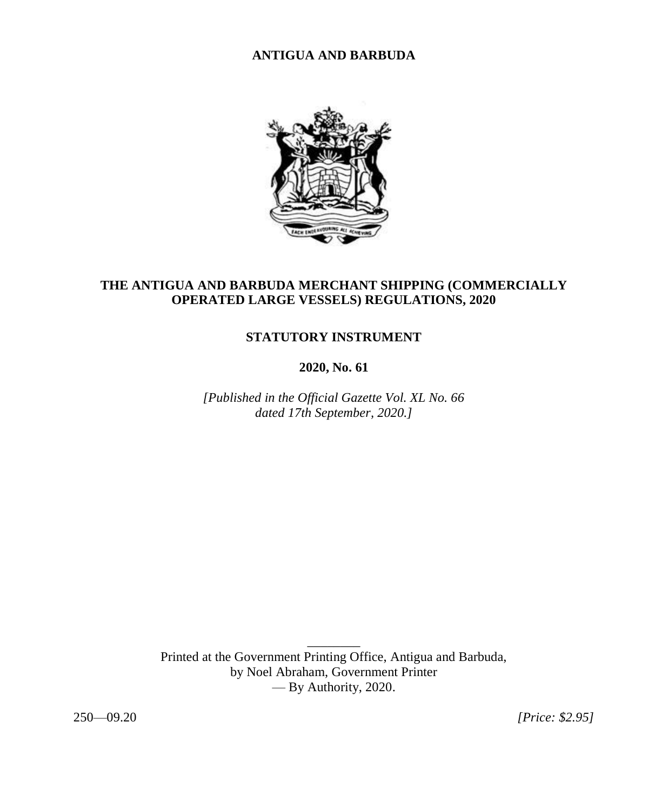## **ANTIGUA AND BARBUDA**



# **THE ANTIGUA AND BARBUDA MERCHANT SHIPPING (COMMERCIALLY OPERATED LARGE VESSELS) REGULATIONS, 2020**

## **STATUTORY INSTRUMENT**

**2020, No. 61**

*[Published in the Official Gazette Vol. XL No. 66 dated 17th September, 2020.]*

Printed at the Government Printing Office, Antigua and Barbuda, by Noel Abraham, Government Printer — By Authority, 2020.

 $\overline{\phantom{a}}$ 

250—09.20 *[Price: \$2.95]*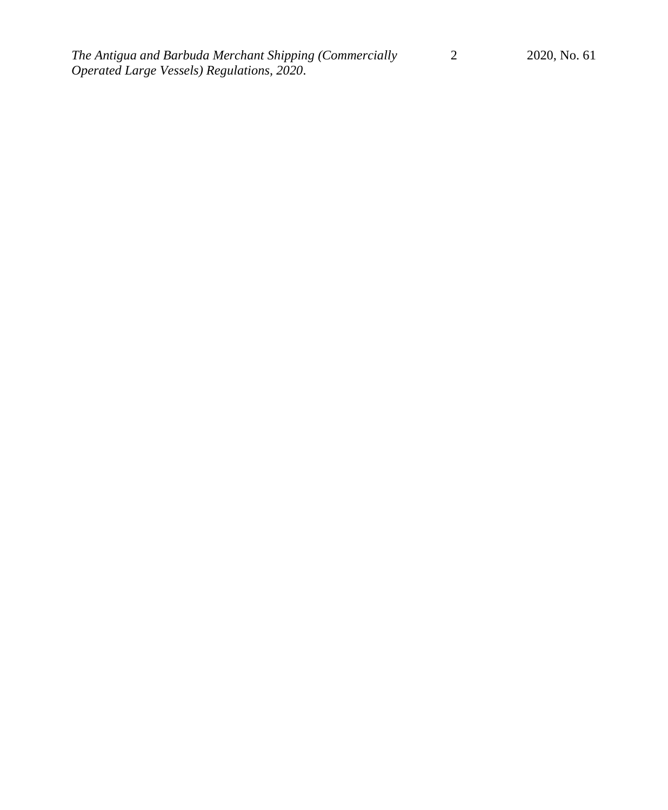*The Antigua and Barbuda Merchant Shipping (Commercially Operated Large Vessels) Regulations, 2020 .*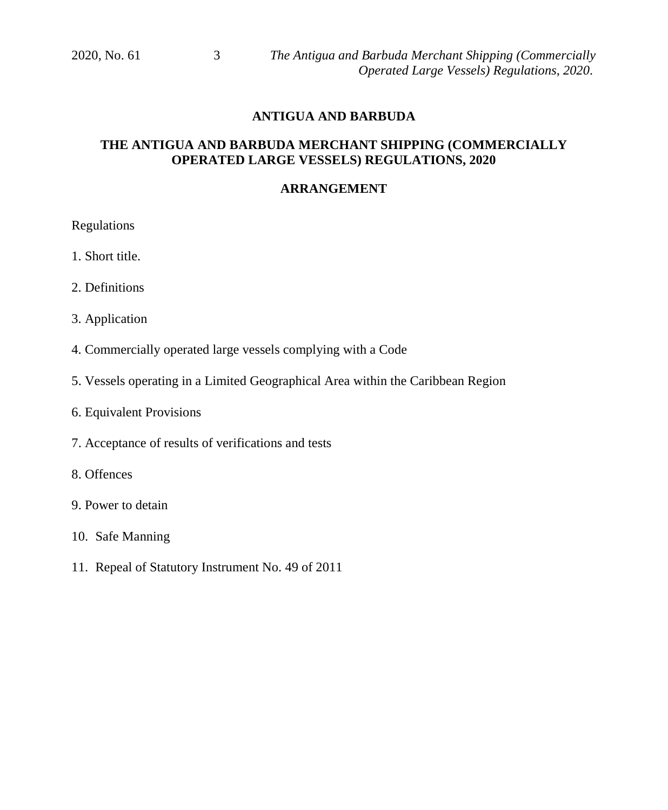#### **ANTIGUA AND BARBUDA**

## **THE ANTIGUA AND BARBUDA MERCHANT SHIPPING (COMMERCIALLY OPERATED LARGE VESSELS) REGULATIONS, 2020**

### **ARRANGEMENT**

## Regulations

- 1. Short title.
- 2. Definitions
- 3. Application
- 4. Commercially operated large vessels complying with a Code
- 5. Vessels operating in a Limited Geographical Area within the Caribbean Region
- 6. Equivalent Provisions
- 7. Acceptance of results of verifications and tests
- 8. Offences
- 9. Power to detain
- 10. Safe Manning
- 11. Repeal of Statutory Instrument No. 49 of 2011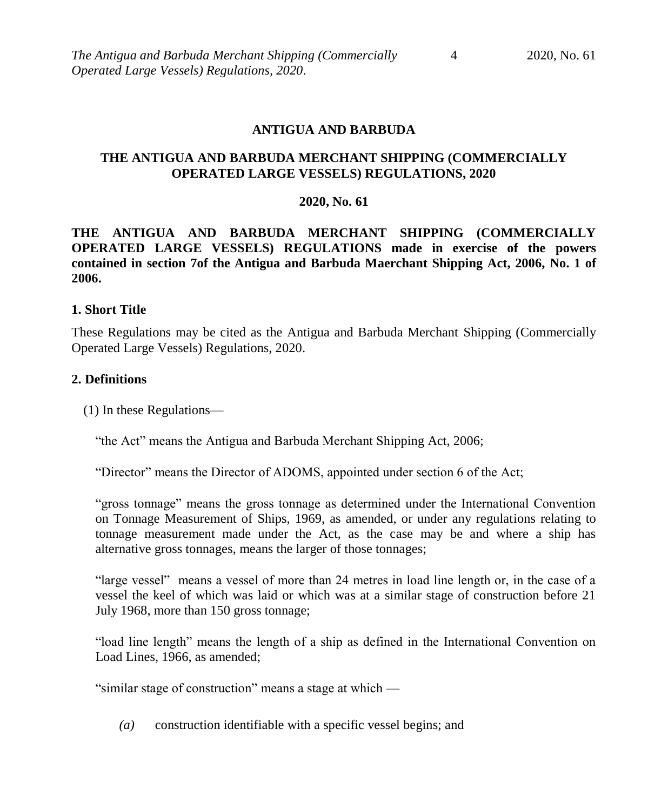#### **ANTIGUA AND BARBUDA**

### **THE ANTIGUA AND BARBUDA MERCHANT SHIPPING (COMMERCIALLY OPERATED LARGE VESSELS) REGULATIONS, 2020**

#### **2020, No. 61**

**THE ANTIGUA AND BARBUDA MERCHANT SHIPPING (COMMERCIALLY OPERATED LARGE VESSELS) REGULATIONS made in exercise of the powers contained in section 7of the Antigua and Barbuda Maerchant Shipping Act, 2006, No. 1 of 2006.**

#### **1. Short Title**

These Regulations may be cited as the Antigua and Barbuda Merchant Shipping (Commercially Operated Large Vessels) Regulations, 2020.

## **2. Definitions**

(1) In these Regulations—

"the Act" means the Antigua and Barbuda Merchant Shipping Act, 2006;

"Director" means the Director of ADOMS, appointed under section 6 of the Act;

"gross tonnage" means the gross tonnage as determined under the International Convention on Tonnage Measurement of Ships, 1969, as amended, or under any regulations relating to tonnage measurement made under the Act, as the case may be and where a ship has alternative gross tonnages, means the larger of those tonnages;

"large vessel" means a vessel of more than 24 metres in load line length or, in the case of a vessel the keel of which was laid or which was at a similar stage of construction before 21 July 1968, more than 150 gross tonnage;

"load line length" means the length of a ship as defined in the International Convention on Load Lines, 1966, as amended;

"similar stage of construction" means a stage at which —

*(a)* construction identifiable with a specific vessel begins; and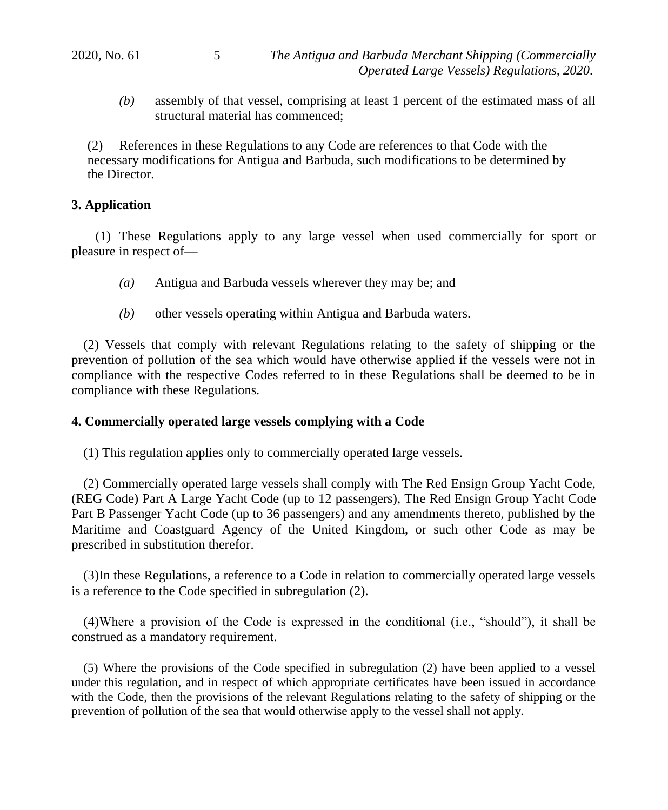*(b)* assembly of that vessel, comprising at least 1 percent of the estimated mass of all structural material has commenced;

(2) References in these Regulations to any Code are references to that Code with the necessary modifications for Antigua and Barbuda, such modifications to be determined by the Director.

### **3. Application**

(1) These Regulations apply to any large vessel when used commercially for sport or pleasure in respect of—

- *(a)* Antigua and Barbuda vessels wherever they may be; and
- *(b)* other vessels operating within Antigua and Barbuda waters.

(2) Vessels that comply with relevant Regulations relating to the safety of shipping or the prevention of pollution of the sea which would have otherwise applied if the vessels were not in compliance with the respective Codes referred to in these Regulations shall be deemed to be in compliance with these Regulations.

### **4. Commercially operated large vessels complying with a Code**

(1) This regulation applies only to commercially operated large vessels.

(2) Commercially operated large vessels shall comply with The Red Ensign Group Yacht Code, (REG Code) Part A Large Yacht Code (up to 12 passengers), The Red Ensign Group Yacht Code Part B Passenger Yacht Code (up to 36 passengers) and any amendments thereto, published by the Maritime and Coastguard Agency of the United Kingdom, or such other Code as may be prescribed in substitution therefor.

(3)In these Regulations, a reference to a Code in relation to commercially operated large vessels is a reference to the Code specified in subregulation (2).

(4)Where a provision of the Code is expressed in the conditional (i.e., "should"), it shall be construed as a mandatory requirement.

(5) Where the provisions of the Code specified in subregulation (2) have been applied to a vessel under this regulation, and in respect of which appropriate certificates have been issued in accordance with the Code, then the provisions of the relevant Regulations relating to the safety of shipping or the prevention of pollution of the sea that would otherwise apply to the vessel shall not apply.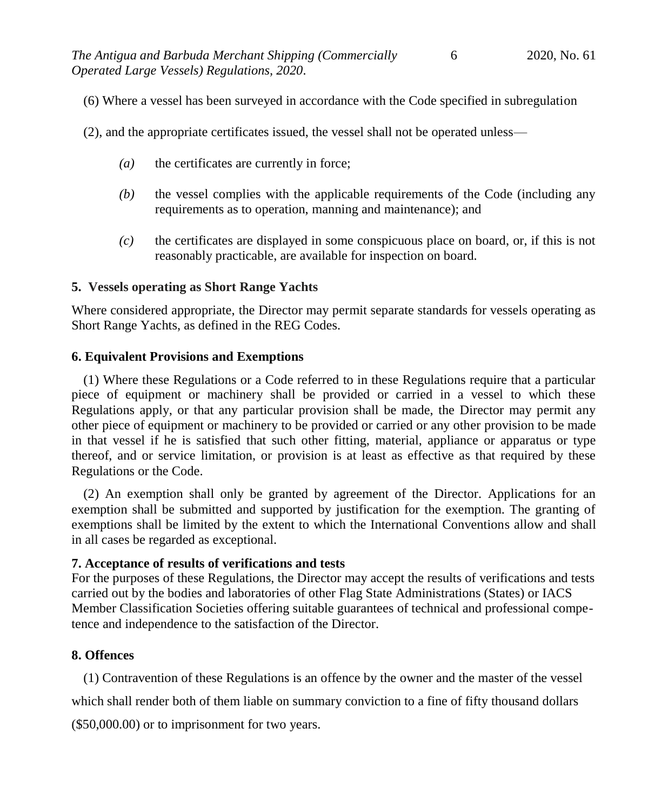*The Antigua and Barbuda Merchant Shipping (Commercially* 6 *<i>b* 2020, No. 61 *Operated Large Vessels) Regulations, 2020.*

- (6) Where a vessel has been surveyed in accordance with the Code specified in subregulation
- (2), and the appropriate certificates issued, the vessel shall not be operated unless—
	- *(a)* the certificates are currently in force;
	- *(b)* the vessel complies with the applicable requirements of the Code (including any requirements as to operation, manning and maintenance); and
	- *(c)* the certificates are displayed in some conspicuous place on board, or, if this is not reasonably practicable, are available for inspection on board.

# **5. Vessels operating as Short Range Yachts**

Where considered appropriate, the Director may permit separate standards for vessels operating as Short Range Yachts, as defined in the REG Codes.

# **6. Equivalent Provisions and Exemptions**

(1) Where these Regulations or a Code referred to in these Regulations require that a particular piece of equipment or machinery shall be provided or carried in a vessel to which these Regulations apply, or that any particular provision shall be made, the Director may permit any other piece of equipment or machinery to be provided or carried or any other provision to be made in that vessel if he is satisfied that such other fitting, material, appliance or apparatus or type thereof, and or service limitation, or provision is at least as effective as that required by these Regulations or the Code.

(2) An exemption shall only be granted by agreement of the Director. Applications for an exemption shall be submitted and supported by justification for the exemption. The granting of exemptions shall be limited by the extent to which the International Conventions allow and shall in all cases be regarded as exceptional.

## **7. Acceptance of results of verifications and tests**

For the purposes of these Regulations, the Director may accept the results of verifications and tests carried out by the bodies and laboratories of other Flag State Administrations (States) or IACS Member Classification Societies offering suitable guarantees of technical and professional competence and independence to the satisfaction of the Director.

# **8. Offences**

(1) Contravention of these Regulations is an offence by the owner and the master of the vessel which shall render both of them liable on summary conviction to a fine of fifty thousand dollars (\$50,000.00) or to imprisonment for two years.